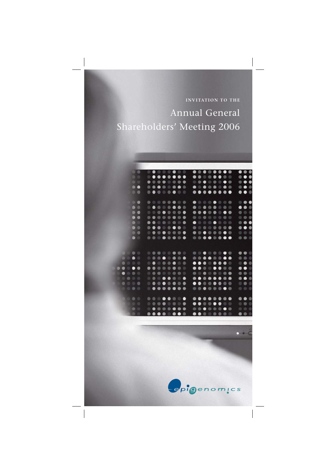**INVITATION TO THE** Annual General Shareholders' Meeting 2006

|   |                                                            |                   | $\cdots \bullet \bullet \circ \circ \bullet \bullet \circ \circ$ |                                                                                                                      |  |  |  |                                                                                                                  |  |  |                                                                                 | $\bullet\bullet\bullet$   |  |
|---|------------------------------------------------------------|-------------------|------------------------------------------------------------------|----------------------------------------------------------------------------------------------------------------------|--|--|--|------------------------------------------------------------------------------------------------------------------|--|--|---------------------------------------------------------------------------------|---------------------------|--|
|   |                                                            | 90                |                                                                  |                                                                                                                      |  |  |  |                                                                                                                  |  |  |                                                                                 | $\bullet \bullet \bullet$ |  |
|   |                                                            |                   |                                                                  | $0.000000000$                                                                                                        |  |  |  |                                                                                                                  |  |  |                                                                                 | $\bullet \bullet \bullet$ |  |
|   |                                                            | $\bullet$         |                                                                  |                                                                                                                      |  |  |  |                                                                                                                  |  |  | $\bullet\; \bullet\; \bullet\; \bullet\; \bullet\; \bullet\; \bullet\; \bullet$ | 0.00                      |  |
|   |                                                            | $\bullet$         |                                                                  |                                                                                                                      |  |  |  | $0 0 0 0 0 0 0 0 0$                                                                                              |  |  |                                                                                 | $\bullet\bullet\circ$     |  |
|   |                                                            |                   |                                                                  |                                                                                                                      |  |  |  |                                                                                                                  |  |  | $\bullet\; \cdots\; \bullet\; \bullet\; \cdots\; \bullet\; \cdots$              | $\bullet\bullet\bullet$   |  |
|   |                                                            | $\bullet$         |                                                                  |                                                                                                                      |  |  |  |                                                                                                                  |  |  | $\bullet\; \bullet\; \bullet\; \bullet\; \bullet\; \circ\; \bullet\; \circ$     | $\bullet\bullet\circ$     |  |
|   |                                                            | $\bullet$         |                                                                  | $0.00000000$                                                                                                         |  |  |  |                                                                                                                  |  |  |                                                                                 | 000                       |  |
|   |                                                            | $\bullet\bullet$  |                                                                  |                                                                                                                      |  |  |  |                                                                                                                  |  |  | 000000000                                                                       | 0 0 0                     |  |
|   |                                                            |                   |                                                                  | $0.0.0000000$                                                                                                        |  |  |  |                                                                                                                  |  |  |                                                                                 | $\bullet \bullet \bullet$ |  |
|   |                                                            | $\ddot{\bullet}$  |                                                                  | $\begin{array}{ccccccccccccccccc} \circ & \bullet & \bullet & \circ & \circ & \bullet & \bullet & \circ \end{array}$ |  |  |  | $0.00000000$                                                                                                     |  |  |                                                                                 | $\bullet\bullet\bullet$   |  |
|   |                                                            |                   |                                                                  |                                                                                                                      |  |  |  |                                                                                                                  |  |  |                                                                                 | 0.0.0                     |  |
|   |                                                            |                   |                                                                  | $0.000000000$                                                                                                        |  |  |  |                                                                                                                  |  |  |                                                                                 |                           |  |
|   |                                                            |                   |                                                                  |                                                                                                                      |  |  |  |                                                                                                                  |  |  |                                                                                 |                           |  |
|   |                                                            |                   |                                                                  | $\begin{array}{ccccccccccccccccc} \circ & \circ & \circ & \circ & \circ & \circ & \circ & \circ & \circ \end{array}$ |  |  |  | $\begin{array}{ccccccccccccccccc} \circ & \circ & \circ & \bullet & \circ & \circ & \bullet & \circ \end{array}$ |  |  |                                                                                 | $\bullet\bullet\circ$     |  |
|   |                                                            |                   |                                                                  |                                                                                                                      |  |  |  |                                                                                                                  |  |  |                                                                                 | 000                       |  |
|   |                                                            |                   |                                                                  |                                                                                                                      |  |  |  |                                                                                                                  |  |  |                                                                                 | $\bullet\bullet\bullet$   |  |
| . |                                                            |                   |                                                                  | $0.000000000$                                                                                                        |  |  |  |                                                                                                                  |  |  |                                                                                 | $\bullet\bullet$          |  |
|   | $\bullet \circ \bullet \circ$                              |                   |                                                                  | $0.000000000$                                                                                                        |  |  |  |                                                                                                                  |  |  |                                                                                 |                           |  |
|   | 000                                                        |                   |                                                                  |                                                                                                                      |  |  |  | $0 0 0 0 0 0 0 0 0$                                                                                              |  |  |                                                                                 | $\bullet\bullet\bullet$   |  |
|   | 0000                                                       |                   |                                                                  |                                                                                                                      |  |  |  | $\bullet\bullet\circ\circ\bullet\bullet\circ\circ$                                                               |  |  |                                                                                 | 0.0.0                     |  |
|   | $\begin{array}{ccc} & \circ & \bullet & \circ \end{array}$ |                   |                                                                  |                                                                                                                      |  |  |  | $0.000000000$                                                                                                    |  |  |                                                                                 | 000                       |  |
|   |                                                            |                   |                                                                  |                                                                                                                      |  |  |  |                                                                                                                  |  |  |                                                                                 |                           |  |
|   |                                                            | $\bullet$ $\circ$ |                                                                  |                                                                                                                      |  |  |  |                                                                                                                  |  |  | $••••••••••$                                                                    | $\bullet\bullet\bullet$   |  |
|   |                                                            |                   |                                                                  |                                                                                                                      |  |  |  |                                                                                                                  |  |  |                                                                                 | 000                       |  |
|   | <b>Bee</b>                                                 |                   |                                                                  |                                                                                                                      |  |  |  |                                                                                                                  |  |  | $\cdots \cdots \cdots$                                                          | 0.0.0                     |  |
|   |                                                            |                   |                                                                  |                                                                                                                      |  |  |  | $\bullet\bullet\circ\bullet\circ\bullet\circ\circ$                                                               |  |  |                                                                                 | $\bullet\bullet\circ$     |  |
|   |                                                            |                   |                                                                  |                                                                                                                      |  |  |  |                                                                                                                  |  |  |                                                                                 |                           |  |

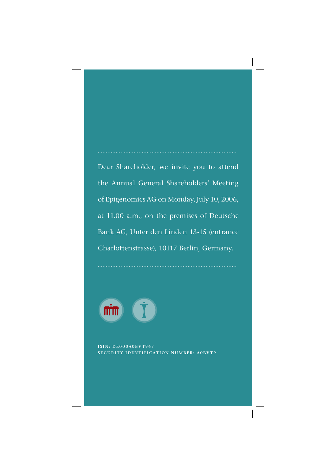Dear Shareholder, we invite you to attend the Annual General Shareholders' Meeting of Epigenomics AG on Monday, July 10, 2006, at 11.00 a.m., on the premises of Deutsche Bank AG, Unter den Linden 13-15 (entrance Charlottenstrasse), 10117 Berlin, Germany.



**ISIN: DE000A0BVT96/ SECURITY IDENTIFICATION NUMBER: A0BVT9**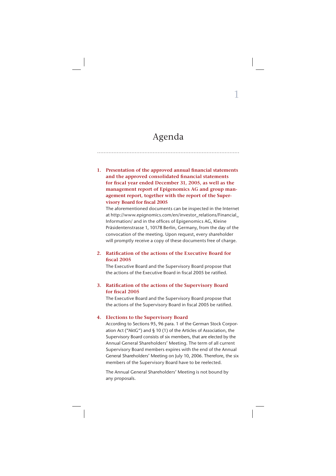### Agenda

.......................................................................................

1

1. Presentation of the approved annual financial statements and the approved consolidated financial statements for fiscal year ended December 31, 2005, as well as the **management report of Epigenomics AG and group management report, together with the report of the Super**visory Board for fiscal 2005

 The aforementioned documents can be inspected in the Internet at http://www.epignomics.com/en/investor\_relations/Financial Information/ and in the offices of Epigenomics AG, Kleine Präsidentenstrasse 1, 10178 Berlin, Germany, from the day of the convocation of the meeting. Upon request, every shareholder will promptly receive a copy of these documents free of charge.

### 2. Ratification of the actions of the Executive Board for **fi scal 2005**

 The Executive Board and the Supervisory Board propose that the actions of the Executive Board in fiscal 2005 be ratified.

### **3. Ratification of the actions of the Supervisory Board** for fiscal 2005

 The Executive Board and the Supervisory Board propose that the actions of the Supervisory Board in fiscal 2005 be ratified.

#### **4. Elections to the Supervisory Board**

 According to Sections 95, 96 para. 1 of the German Stock Corporation Act ("AktG") and § 10 (1) of the Articles of Association, the Supervisory Board consists of six members, that are elected by the Annual General Shareholders' Meeting. The term of all current Supervisory Board members expires with the end of the Annual General Shareholders' Meeting on July 10, 2006. Therefore, the six members of the Supervisory Board have to be reelected.

 The Annual General Shareholders' Meeting is not bound by any proposals.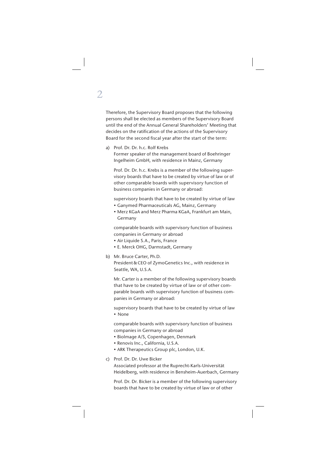Therefore, the Supervisory Board proposes that the following persons shall be elected as members of the Supervisory Board until the end of the Annual General Shareholders' Meeting that decides on the ratification of the actions of the Supervisory Board for the second fiscal year after the start of the term:

a) Prof. Dr. Dr. h.c. Rolf Krebs

 Former speaker of the management board of Boehringer Ingelheim GmbH, with residence in Mainz, Germany

 Prof. Dr. Dr. h.c. Krebs is a member of the following supervisory boards that have to be created by virtue of law or of other comparable boards with supervisory function of business companies in Germany or abroad:

supervisory boards that have to be created by virtue of law

- Ganymed Pharmaceuticals AG, Mainz, Germany
- Merz KGaA and Merz Pharma KGaA, Frankfurt am Main, Germany

 comparable boards with supervisory function of business companies in Germany or abroad

- Air Liquide S.A., Paris, France
- E. Merck OHG, Darmstadt, Germany
- b) Mr. Bruce Carter, Ph.D.

 President & CEO of ZymoGenetics Inc., with residence in Seattle, WA, U.S.A.

 Mr. Carter is a member of the following supervisory boards that have to be created by virtue of law or of other comparable boards with supervisory function of business companies in Germany or abroad:

 supervisory boards that have to be created by virtue of law • None

 comparable boards with supervisory function of business companies in Germany or abroad

- Biolmage A/S, Copenhagen, Denmark
- Renovis Inc., California, U.S.A.
- ARK Therapeutics Group plc, London, U.K.
- c) Prof. Dr. Dr. Uwe Bicker

 Associated professor at the Ruprecht-Karls-Universität Heidelberg, with residence in Bensheim-Auerbach, Germany

 Prof. Dr. Dr. Bicker is a member of the following supervisory boards that have to be created by virtue of law or of other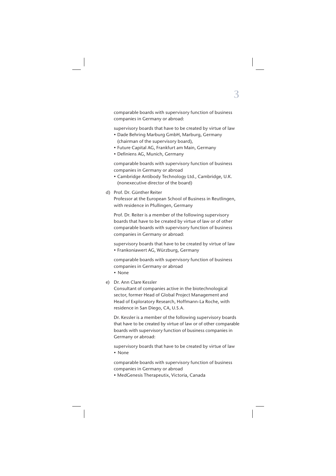comparable boards with supervisory function of business companies in Germany or abroad:

supervisory boards that have to be created by virtue of law

- Dade Behring Marburg GmbH, Marburg, Germany (chairman of the supervisory board),
- Future Capital AG, Frankfurt am Main, Germany
- Definiens AG, Munich, Germany

 comparable boards with supervisory function of business companies in Germany or abroad

- Cambridge Antibody Technology Ltd., Cambridge, U.K. (nonexecutive director of the board)
- d) Prof. Dr. Günther Reiter

 Professor at the European School of Business in Reutlingen, with residence in Pfullingen, Germany

 Prof. Dr. Reiter is a member of the following supervisory boards that have to be created by virtue of law or of other comparable boards with supervisory function of business companies in Germany or abroad:

 supervisory boards that have to be created by virtue of law • Frankoniawert AG, Würzburg, Germany

 comparable boards with supervisory function of business companies in Germany or abroad

• None

### e) Dr. Ann Clare Kessler

 Consultant of companies active in the biotechnological sector, former Head of Global Project Management and Head of Exploratory Research, Hoffmann-La Roche, with residence in San Diego, CA, U.S.A.

 Dr. Kessler is a member of the following supervisory boards that have to be created by virtue of law or of other comparable boards with supervisory function of business companies in Germany or abroad:

 supervisory boards that have to be created by virtue of law • None

 comparable boards with supervisory function of business companies in Germany or abroad

• MedGenesis Therapeutix, Victoria, Canada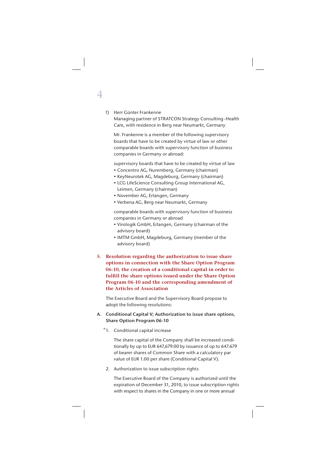#### f) Herr Günter Frankenne

 Managing partner of STRATCON Strategy Consulting - Health Care, with residence in Berg near Neumarkt, Germany

 Mr. Frankenne is a member of the following supervisory boards that have to be created by virtue of law or other comparable boards with supervisory function of business companies in Germany or abroad:

supervisory boards that have to be created by virtue of law

- Concentro AG, Nuremberg, Germany (chairman)
- KeyNeurotek AG, Magdeburg, Germany (chairman)
- LCG LifeScience Consulting Group International AG, Leimen, Germany (chairman)
- November AG, Erlangen, Germany
- Verbena AG, Berg near Neumarkt, Germany

 comparable boards with supervisory function of business companies in Germany or abroad

- Virologik GmbH, Erlangen, Germany (chairman of the advisory board)
- iMTM GmbH, Magdeburg, Germany (member of the advisory board)
- **5. Resolution regarding the authorization to issue share options in connection with the Share Option Program 06-10, the creation of a conditional capital in order to**  fulfill the share options issued under the Share Option **Program 06-10 and the corresponding amendment of the Articles of Association**

 The Executive Board and the Supervisory Board propose to adopt the following resolutions:

### **A. Conditional Capital V; Authorization to issue share options, Share Option Program 06-10**

1. Conditional capital increase "

 The share capital of the Company shall be increased conditionally by up to EUR 647,679.00 by issuance of up to 647.679 of bearer shares of Common Share with a calculatory par value of EUR 1.00 per share (Conditional Capital V).

2. Authorization to issue subscription rights

 The Executive Board of the Company is authorized until the expiration of December 31, 2010, to issue subscription rights with respect to shares in the Company in one or more annual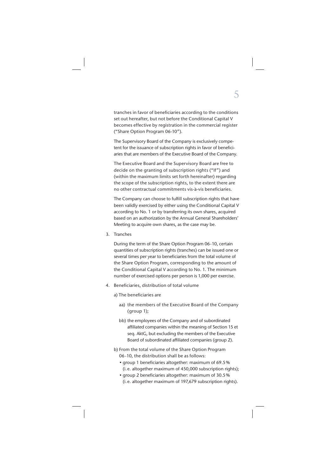tranches in favor of beneficiaries according to the conditions set out hereafter, but not before the Conditional Capital V becomes effective by registration in the commercial register ("Share Option Program 06-10").

 The Supervisory Board of the Company is exclusively competent for the issuance of subscription rights in favor of beneficiaries that are members of the Executive Board of the Company.

 The Executive Board and the Supervisory Board are free to decide on the granting of subscription rights ("If") and (within the maximum limits set forth hereinafter) regarding the scope of the subscription rights, to the extent there are no other contractual commitments vis-à-vis beneficiaries.

The Company can choose to fulfill subscription rights that have been validly exercised by either using the Conditional Capital V according to No. 1 or by transferring its own shares, acquired based on an authorization by the Annual General Shareholders' Meeting to acquire own shares, as the case may be.

3. Tranches

 During the term of the Share Option Program 06-10, certain quantities of subscription rights (tranches) can be issued one or several times per year to beneficiaries from the total volume of the Share Option Program, corresponding to the amount of the Conditional Capital V according to No. 1. The minimum number of exercised options per person is 1,000 per exercise.

- 4. Beneficiaries, distribution of total volume
	- a) The beneficiaries are
		- aa) the members of the Executive Board of the Company (group 1);
		- bb) the employees of the Company and of subordinated affiliated companies within the meaning of Section 15 et seq. AktG, but excluding the members of the Executive Board of subordinated affiliated companies (group 2).
	- b) From the total volume of the Share Option Program 06-10, the distribution shall be as follows:
		- group 1 beneficiaries altogether: maximum of 69.5% (i. e. altogether maximum of 450,000 subscription rights);
		- group 2 beneficiaries altogether: maximum of 30.5% (i. e. altogether maximum of 197,679 subscription rights).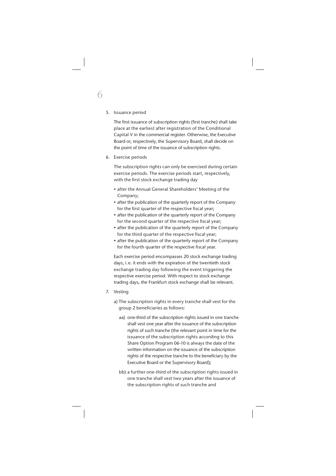#### 5. Issuance period

6

The first issuance of subscription rights (first tranche) shall take place at the earliest after registration of the Conditional Capital V in the commercial register. Otherwise, the Executive Board or, respectively, the Supervisory Board, shall decide on the point of time of the issuance of subscription rights.

6. Exercise periods

 The subscription rights can only be exercised during certain exercise periods. The exercise periods start, respectively, with the first stock exchange trading day

- after the Annual General Shareholders' Meeting of the Company;
- after the publication of the quarterly report of the Company for the first quarter of the respective fiscal year;
- after the publication of the quarterly report of the Company for the second quarter of the respective fiscal year:
- after the publication of the quarterly report of the Company for the third quarter of the respective fiscal year;
- after the publication of the quarterly report of the Company for the fourth quarter of the respective fiscal year.

 Each exercise period encompasses 20 stock exchange trading days, i. e. it ends with the expiration of the twentieth stock exchange trading day following the event triggering the respective exercise period. With respect to stock exchange trading days, the Frankfurt stock exchange shall be relevant.

- 7. Vesting
	- a) The subscription rights in every tranche shall vest for the group 2 beneficiaries as follows:
		- aa) one-third of the subscription rights issued in one tranche shall vest one year after the issuance of the subscription rights of such tranche (the relevant point in time for the issuance of the subscription rights according to this Share Option Program 06-10 is always the date of the written information on the issuance of the subscription rights of the respective tranche to the beneficiary by the Executive Board or the Supervisory Board);
		- bb) a further one-third of the subscription rights issued in one tranche shall vest two years after the issuance of the subscription rights of such tranche and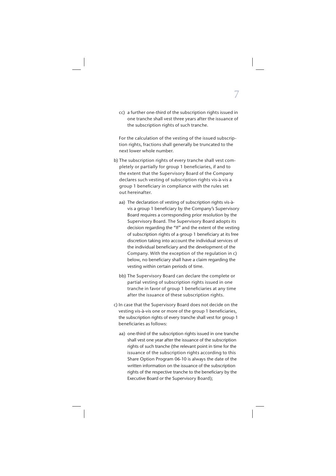cc) a further one-third of the subscription rights issued in one tranche shall vest three years after the issuance of the subscription rights of such tranche.

 For the calculation of the vesting of the issued subscription rights, fractions shall generally be truncated to the next lower whole number.

- b) The subscription rights of every tranche shall vest completely or partially for group 1 beneficiaries, if and to the extent that the Supervisory Board of the Company declares such vesting of subscription rights vis-à-vis a group 1 beneficiary in compliance with the rules set out hereinafter.
	- aa) The declaration of vesting of subscription rights vis-àvis a group 1 beneficiary by the Company's Supervisory Board requires a corresponding prior resolution by the Supervisory Board. The Supervisory Board adopts its decision regarding the "If" and the extent of the vesting of subscription rights of a group 1 beneficiary at its free discretion taking into account the individual services of the individual beneficiary and the development of the Company. With the exception of the regulation in c) below, no beneficiary shall have a claim regarding the vesting within certain periods of time.
	- bb) The Supervisory Board can declare the complete or partial vesting of subscription rights issued in one tranche in favor of group 1 beneficiaries at any time after the issuance of these subscription rights.
- c) In case that the Supervisory Board does not decide on the vesting vis-à-vis one or more of the group 1 beneficiaries, the subscription rights of every tranche shall vest for group 1 beneficiaries as follows:
	- aa) one-third of the subscription rights issued in one tranche shall vest one year after the issuance of the subscription rights of such tranche (the relevant point in time for the issuance of the subscription rights according to this Share Option Program 06-10 is always the date of the written information on the issuance of the subscription rights of the respective tranche to the beneficiary by the Executive Board or the Supervisory Board);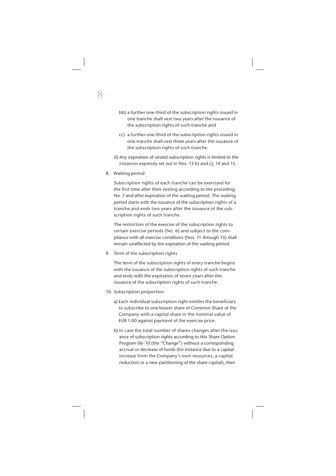- bb) a further one-third of the subscription rights issued in one tranche shall vest two years after the issuance of the subscription rights of such tranche and
- cc) a further one-third of the subscription rights issued in one tranche shall vest three years after the issuance of the subscription rights of such tranche.
- d) Any expiration of vested subscription rights is limited to the instances expressly set out in Nos. 13 b) and c), 14 and 15.
- 8. Waiting period

 Subscription rights of each tranche can be exercised for the first time after their vesting according to the preceding No. 7 and after expiration of the waiting period. The waiting period starts with the issuance of the subscription rights of a tranche and ends two years after the issuance of the subscription rights of such tranche.

 The restriction of the exercise of the subscription rights to certain exercise periods (No. 6) and subject to the compliance with all exercise conditions (Nos. 11 through 13) shall remain unaffected by the expiration of the waiting period.

9. Term of the subscription rights

 The term of the subscription rights of every tranche begins with the issuance of the subscription rights of such tranche and ends with the expiration of seven years after the issuance of the subscription rights of such tranche.

- 10. Subscription proportion
	- a) Each individual subscription right entitles the beneficiary to subscribe to one bearer share of Common Share of the Company with a capital share in the nominal value of EUR 1.00 against payment of the exercise price.
	- b) In case the total number of shares changes after the issuance of subscription rights according to this Share Option Program 06-10 (the "Change") without a corresponding accrual or decrease of funds (for instance due to a capital increase from the Company's own resources, a capital reduction or a new partitioning of the share capital), then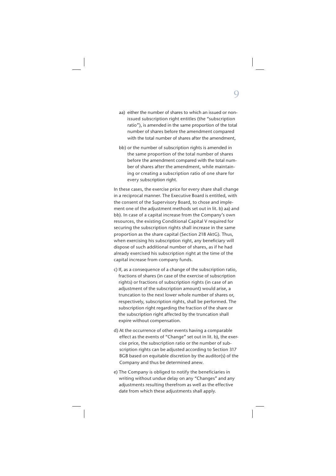- aa) either the number of shares to which an issued or nonissued subscription right entitles (the "subscription ratio"), is amended in the same proportion of the total number of shares before the amendment compared with the total number of shares after the amendment,
- bb) or the number of subscription rights is amended in the same proportion of the total number of shares before the amendment compared with the total number of shares after the amendment, while maintaining or creating a subscription ratio of one share for every subscription right.

 In these cases, the exercise price for every share shall change in a reciprocal manner. The Executive Board is entitled, with the consent of the Supervisory Board, to chose and implement one of the adjustment methods set out in lit. b) aa) and bb). In case of a capital increase from the Company's own resources, the existing Conditional Capital V required for securing the subscription rights shall increase in the same proportion as the share capital (Section 218 AktG). Thus, when exercising his subscription right, any beneficiary will dispose of such additional number of shares, as if he had already exercised his subscription right at the time of the capital increase from company funds.

- c) If, as a consequence of a change of the subscription ratio, fractions of shares (in case of the exercise of subscription rights) or fractions of subscription rights (in case of an adjustment of the subscription amount) would arise, a truncation to the next lower whole number of shares or, respectively, subscription rights, shall be performed. The subscription right regarding the fraction of the share or the subscription right affected by the truncation shall expire without compensation.
- d) At the occurrence of other events having a comparable effect as the events of "Change" set out in lit. b), the exercise price, the subscription ratio or the number of subscription rights can be adjusted according to Section 317 BGB based on equitable discretion by the auditor(s) of the Company and thus be determined anew.
- e) The Company is obliged to notify the beneficiaries in writing without undue delay on any "Changes" and any adjustments resulting therefrom as well as the effective date from which these adjustments shall apply.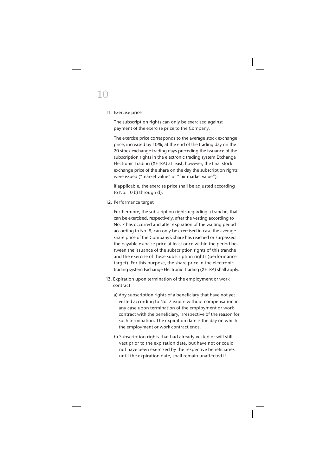# 10

### 11. Exercise price

 The subscription rights can only be exercised against payment of the exercise price to the Company.

 The exercise price corresponds to the average stock exchange price, increased by 10 %, at the end of the trading day on the 20 stock exchange trading days preceding the issuance of the subscription rights in the electronic trading system Exchange Electronic Trading (XETRA) at least, however, the final stock exchange price of the share on the day the subscription rights were issued ("market value" or "fair market value").

 If applicable, the exercise price shall be adjusted according to No. 10 b) through d).

12. Performance target

 Furthermore, the subscription rights regarding a tranche, that can be exercised, respectively, after the vesting according to No. 7 has occurred and after expiration of the waiting period according to No. 8, can only be exercised in case the average share price of the Company's share has reached or surpassed the payable exercise price at least once within the period between the issuance of the subscription rights of this tranche and the exercise of these subscription rights (performance target). For this purpose, the share price in the electronic trading system Exchange Electronic Trading (XETRA) shall apply.

- 13. Expiration upon termination of the employment or work contract
	- a) Any subscription rights of a beneficiary that have not yet vested according to No. 7 expire without compensation in any case upon termination of the employment or work contract with the beneficiary, irrespective of the reason for such termination. The expiration date is the day on which the employment or work contract ends.
	- b) Subscription rights that had already vested or will still vest prior to the expiration date, but have not or could not have been exercised by the respective beneficiaries until the expiration date, shall remain unaffected if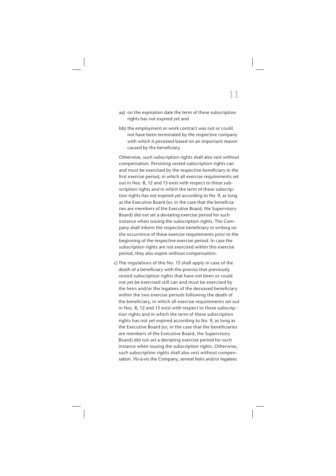- aa) on the expiration date the term of these subscription rights has not expired yet and
- bb) the employment or work contract was not or could not have been terminated by the respective company with which it persisted based on an important reason caused by the beneficiary.

 Otherwise, such subscription rights shall also vest without compensation. Persisting vested subscription rights can and must be exercised by the respective beneficiary in the first exercise period, in which all exercise requirements set out in Nos. 8, 12 and 13 exist with respect to these subscription rights and in which the term of these subscription rights has not expired yet according to No. 9, as long as the Executive Board (or, in the case that the beneficiaries are members of the Executive Board, the Supervisory Board) did not set a deviating exercise period for such instance when issuing the subscription rights. The Company shall inform the respective beneficiary in writing on the occurrence of these exercise requirements prior to the beginning of the respective exercise period. In case the subscription rights are not exercised within this exercise period, they also expire without compensation.

 c) The regulations of this No. 13 shall apply in case of the death of a beneficiary with the proviso that previously vested subscription rights that have not been or could not yet be exercised still can and must be exercised by the heirs and/or the legatees of the deceased beneficiary within the two exercise periods following the death of the beneficiary, in which all exercise requirements set out in Nos. 8, 12 and 13 exist with respect to these subscription rights and in which the term of these subscription rights has not yet expired according to No. 9, as long as the Executive Board (or, in the case that the beneficiaries are members of the Executive Board, the Supervisory Board) did not set a deviating exercise period for such instance when issuing the subscription rights. Otherwise, such subscription rights shall also vest without compensation. Vis-à-vis the Company, several heirs and/or legatees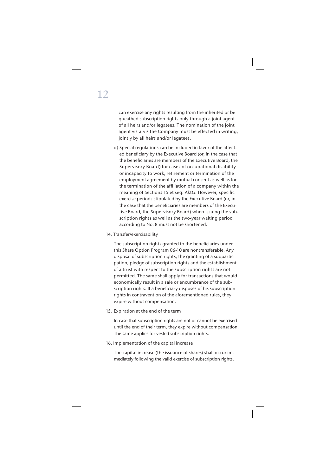can exercise any rights resulting from the inherited or bequeathed subscription rights only through a joint agent of all heirs and/or legatees. The nomination of the joint agent vis-à-vis the Company must be effected in writing, jointly by all heirs and/or legatees.

- d) Special regulations can be included in favor of the affected beneficiary by the Executive Board (or, in the case that the beneficiaries are members of the Executive Board, the Supervisory Board) for cases of occupational disability or incapacity to work, retirement or termination of the employment agreement by mutual consent as well as for the termination of the affiliation of a company within the meaning of Sections 15 et seq. AktG. However, specific exercise periods stipulated by the Executive Board (or, in the case that the beneficiaries are members of the Executive Board, the Supervisory Board) when issuing the subscription rights as well as the two-year waiting period according to No. 8 must not be shortened.
- 14. Transfer/exercisability

The subscription rights granted to the beneficiaries under this Share Option Program 06-10 are nontransferable. Any disposal of subscription rights, the granting of a subparticipation, pledge of subscription rights and the establishment of a trust with respect to the subscription rights are not permitted. The same shall apply for transactions that would economically result in a sale or encumbrance of the subscription rights. If a beneficiary disposes of his subscription rights in contravention of the aforementioned rules, they expire without compensation.

15. Expiration at the end of the term

 In case that subscription rights are not or cannot be exercised until the end of their term, they expire without compensation. The same applies for vested subscription rights.

#### 16. Implementation of the capital increase

 The capital increase (the issuance of shares) shall occur immediately following the valid exercise of subscription rights.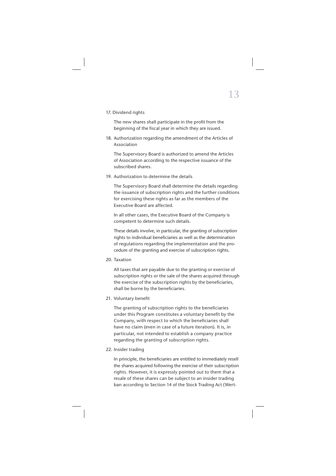17. Dividend rights

The new shares shall participate in the profit from the beginning of the fiscal year in which they are issued.

 18. Authorization regarding the amendment of the Articles of Association

 The Supervisory Board is authorized to amend the Articles of Association according to the respective issuance of the subscribed shares.

19. Authorization to determine the details

 The Supervisory Board shall determine the details regarding the issuance of subscription rights and the further conditions for exercising these rights as far as the members of the Executive Board are affected.

 In all other cases, the Executive Board of the Company is competent to determine such details.

 These details involve, in particular, the granting of subscription rights to individual beneficiaries as well as the determination of regulations regarding the implementation and the procedure of the granting and exercise of subscription rights.

20. Taxation

 All taxes that are payable due to the granting or exercise of subscription rights or the sale of the shares acquired through the exercise of the subscription rights by the beneficiaries, shall be borne by the beneficiaries.

21. Voluntary benefit

The granting of subscription rights to the beneficiaries under this Program constitutes a voluntary benefit by the Company, with respect to which the beneficiaries shall have no claim (even in case of a future iteration). It is, in particular, not intended to establish a company practice regarding the granting of subscription rights.

22. Insider trading

In principle, the beneficiaries are entitled to immediately resell the shares acquired following the exercise of their subscription rights. However, it is expressly pointed out to them that a resale of these shares can be subject to an insider trading ban according to Section 14 of the Stock Trading Act (Wert-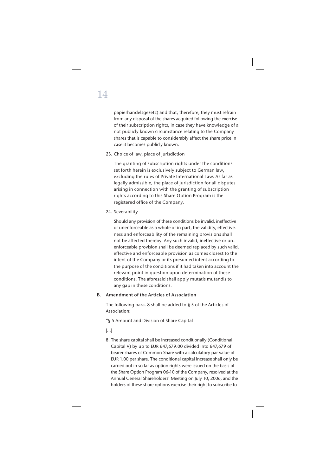papierhandelsgesetz) and that, therefore, they must refrain from any disposal of the shares acquired following the exercise of their subscription rights, in case they have knowledge of a not publicly known circumstance relating to the Company shares that is capable to considerably affect the share price in case it becomes publicly known.

23. Choice of law, place of jurisdiction

 The granting of subscription rights under the conditions set forth herein is exclusively subject to German law, excluding the rules of Private International Law. As far as legally admissible, the place of jurisdiction for all disputes arising in connection with the granting of subscription rights according to this Share Option Program is the registered office of the Company.

24. Severability

 Should any provision of these conditions be invalid, ineffective or unenforceable as a whole or in part, the validity, effectiveness and enforceability of the remaining provisions shall not be affected thereby. Any such invalid, ineffective or unenforceable provision shall be deemed replaced by such valid, effective and enforceable provision as comes closest to the intent of the Company or its presumed intent according to the purpose of the conditions if it had taken into account the relevant point in question upon determination of these conditions. The aforesaid shall apply mutatis mutandis to any gap in these conditions.

### **B. Amendment of the Articles of Association**

 The following para. 8 shall be added to § 5 of the Articles of Association:

"§ 5 Amount and Division of Share Capital

[…]

 8. The share capital shall be increased conditionally (Conditional Capital V) by up to EUR 647,679.00 divided into 647,679 of bearer shares of Common Share with a calculatory par value of EUR 1.00 per share. The conditional capital increase shall only be carried out in so far as option rights were issued on the basis of the Share Option Program 06-10 of the Company, resolved at the Annual General Shareholders' Meeting on July 10, 2006, and the holders of these share options exercise their right to subscribe to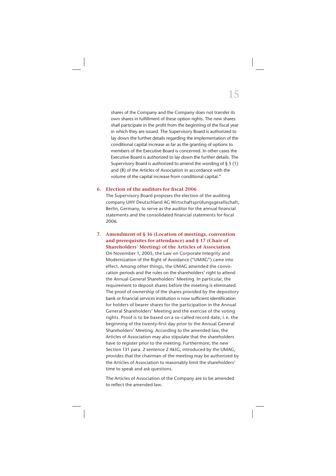shares of the Company and the Company does not transfer its own shares in fulfillment of these option rights. The new shares shall participate in the profit from the beginning of the fiscal year in which they are issued. The Supervisory Board is authorized to lay down the further details regarding the implementation of the conditional capital increase as far as the granting of options to members of the Executive Board is concerned. In other cases the Executive Board is authorized to lay down the further details. The Supervisory Board is authorized to amend the wording of § 5 (1) and (8) of the Articles of Association in accordance with the volume of the capital increase from conditional capital."

### **6. Election of the auditors for fi scal 2006**

 The Supervisory Board proposes the election of the auditing company UHY Deutschland AG Wirtschaftsprüfungsgesellschaft, Berlin, Germany, to serve as the auditor for the annual financial statements and the consolidated financial statements for fiscal 2006.

**7. Amendment of § 16 (Location of meetings, convention and prerequisites for attendance) and § 17 (Chair of Shareholders' Meeting) of the Articles of Association** On November 1, 2005, the Law on Corporate Integrity and Modernization of the Right of Avoidance ("UMAG") came into effect. Among other things, the UMAG amended the convocation periods and the rules on the shareholders' right to attend the Annual General Shareholders' Meeting. In particular, the requirement to deposit shares before the meeting is eliminated. The proof of ownership of the shares provided by the depository bank or financial services institution is now sufficient identification for holders of bearer shares for the participation in the Annual General Shareholders' Meeting and the exercise of the voting rights. Proof is to be based on a so-called record date, i. e. the beginning of the twenty-first day prior to the Annual General Shareholders' Meeting. According to the amended law, the Articles of Association may also stipulate that the shareholders have to register prior to the meeting. Furthermore, the new Section 131 para. 2 sentence 2 AktG, introduced by the UMAG, provides that the chairman of the meeting may be authorized by the Articles of Association to reasonably limit the shareholders' time to speak and ask questions.

 The Articles of Association of the Company are to be amended to reflect the amended law.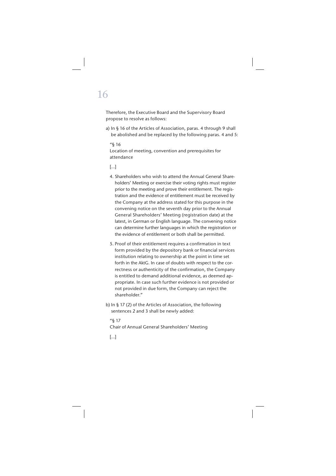# 16

 Therefore, the Executive Board and the Supervisory Board propose to resolve as follows:

 a) In § 16 of the Articles of Association, paras. 4 through 9 shall be abolished and be replaced by the following paras. 4 and 5:

### "§ 16

Location of meeting, convention and prerequisites for attendance

### […]

- 4. Shareholders who wish to attend the Annual General Shareholders' Meeting or exercise their voting rights must register prior to the meeting and prove their entitlement. The registration and the evidence of entitlement must be received by the Company at the address stated for this purpose in the convening notice on the seventh day prior to the Annual General Shareholders' Meeting (registration date) at the latest, in German or English language. The convening notice can determine further languages in which the registration or the evidence of entitlement or both shall be permitted.
- 5. Proof of their entitlement requires a confirmation in text form provided by the depository bank or financial services institution relating to ownership at the point in time set forth in the AktG. In case of doubts with respect to the correctness or authenticity of the confirmation, the Company is entitled to demand additional evidence, as deemed appropriate. In case such further evidence is not provided or not provided in due form, the Company can reject the shareholder."
- b) In § 17 (2) of the Articles of Association, the following sentences 2 and 3 shall be newly added:

### "§ 17 Chair of Annual General Shareholders' Meeting

[…]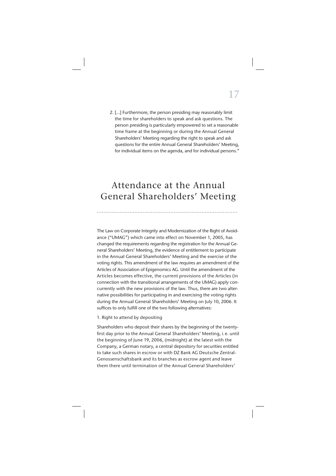2. […] Furthermore, the person presiding may reasonably limit the time for shareholders to speak and ask questions. The person presiding is particularly empowered to set a reasonable time frame at the beginning or during the Annual General Shareholders' Meeting regarding the right to speak and ask questions for the entire Annual General Shareholders' Meeting, for individual items on the agenda, and for individual persons."

## Attendance at the Annual General Shareholders' Meeting

......................................................................................

The Law on Corporate Integrity and Modernization of the Right of Avoidance ("UMAG") which came into effect on November 1, 2005, has changed the requirements regarding the registration for the Annual General Shareholders' Meeting, the evidence of entitlement to participate in the Annual General Shareholders' Meeting and the exercise of the voting rights. This amendment of the law requires an amendment of the Articles of Association of Epigenomics AG. Until the amendment of the Articles becomes effective, the current provisions of the Articles (in connection with the transitional arrangements of the UMAG) apply concurrently with the new provisions of the law. Thus, there are two alternative possibilities for participating in and exercising the voting rights during the Annual General Shareholders' Meeting on July 10, 2006. It suffices to only fulfill one of the two following alternatives:

### 1. Right to attend by depositing

Shareholders who deposit their shares by the beginning of the twentyfirst day prior to the Annual General Shareholders' Meeting, i.e. until the beginning of June 19, 2006, (midnight) at the latest with the Company, a German notary, a central depository for securities entitled to take such shares in escrow or with DZ Bank AG Deutsche Zentral-Genossenschaftsbank and its branches as escrow agent and leave them there until termination of the Annual General Shareholders'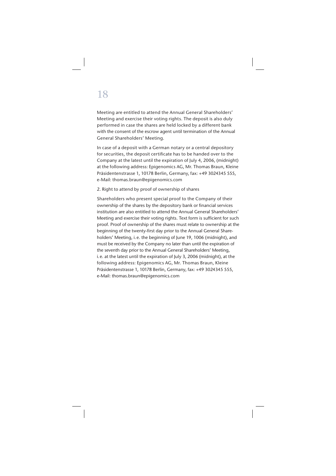## 18

Meeting are entitled to attend the Annual General Shareholders' Meeting and exercise their voting rights. The deposit is also duly performed in case the shares are held locked by a different bank with the consent of the escrow agent until termination of the Annual General Shareholders' Meeting.

In case of a deposit with a German notary or a central depository for securities, the deposit certificate has to be handed over to the Company at the latest until the expiration of July 4, 2006, (midnight) at the following address: Epigenomics AG, Mr. Thomas Braun, Kleine Präsidentenstrasse 1, 10178 Berlin, Germany, fax: +49 3024345 555, e-Mail: thomas.braun@epigenomics.com

### 2. Right to attend by proof of ownership of shares

Shareholders who present special proof to the Company of their ownership of the shares by the depository bank or financial services institution are also entitled to attend the Annual General Shareholders' Meeting and exercise their voting rights. Text form is sufficient for such proof. Proof of ownership of the shares must relate to ownership at the beginning of the twenty-first day prior to the Annual General Shareholders' Meeting, i. e. the beginning of June 19, 1006 (midnight), and must be received by the Company no later than until the expiration of the seventh day prior to the Annual General Shareholders' Meeting, i. e. at the latest until the expiration of July 3, 2006 (midnight), at the following address: Epigenomics AG, Mr. Thomas Braun, Kleine Präsidentenstrasse 1, 10178 Berlin, Germany, fax: +49 3024345 555, e-Mail: thomas.braun@epigenomics.com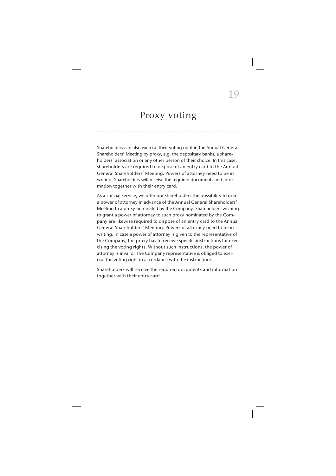### Proxy voting

......................................................................................

Shareholders can also exercise their voting right in the Annual General Shareholders' Meeting by proxy, e.g. the depositary banks, a shareholders' association or any other person of their choice. In this case, shareholders are required to dispose of an entry card to the Annual General Shareholders' Meeting. Powers of attorney need to be in writing. Shareholders will receive the required documents and information together with their entry card.

As a special service, we offer our shareholders the possibility to grant a power of attorney in advance of the Annual General Shareholders' Meeting to a proxy nominated by the Company. Shareholders wishing to grant a power of attorney to such proxy nominated by the Company are likewise required to dispose of an entry card to the Annual General Shareholders' Meeting. Powers of attorney need to be in writing. In case a power of attorney is given to the representative of the Company, the proxy has to receive specific instructions for exercising the voting rights. Without such instructions, the power of attorney is invalid. The Company representative is obliged to exercise the voting right in accordance with the instructions.

Shareholders will receive the required documents and information together with their entry card.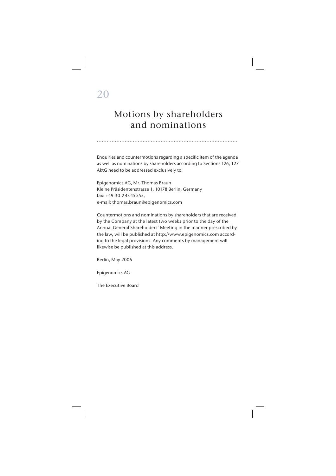## 20

## Motions by shareholders and nominations

Enquiries and countermotions regarding a specific item of the agenda as well as nominations by shareholders according to Sections 126, 127 AktG need to be addressed exclusively to:

......................................................................................

Epigenomics AG, Mr. Thomas Braun Kleine Präsidentenstrasse 1, 10178 Berlin, Germany fax: +49-30-2 43 45 555, e-mail: thomas.braun@epigenomics.com

Countermotions and nominations by shareholders that are received by the Company at the latest two weeks prior to the day of the Annual General Shareholders' Meeting in the manner prescribed by the law, will be published at http://www.epigenomics.com according to the legal provisions. Any comments by management will likewise be published at this address.

Berlin, May 2006

Epigenomics AG

The Executive Board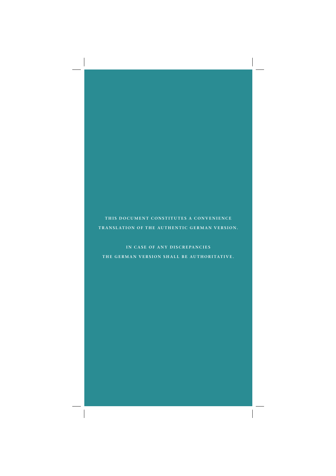### THIS DOCUMENT CONSTITUTES A CONVENIENCE **TRANSLATION OF THE AUTHENTIC GERMAN VERSION.**

IN CASE OF ANY DISCREPANCIES **THE GERMAN VERSION SHALL BE AUTHORITATIVE.**